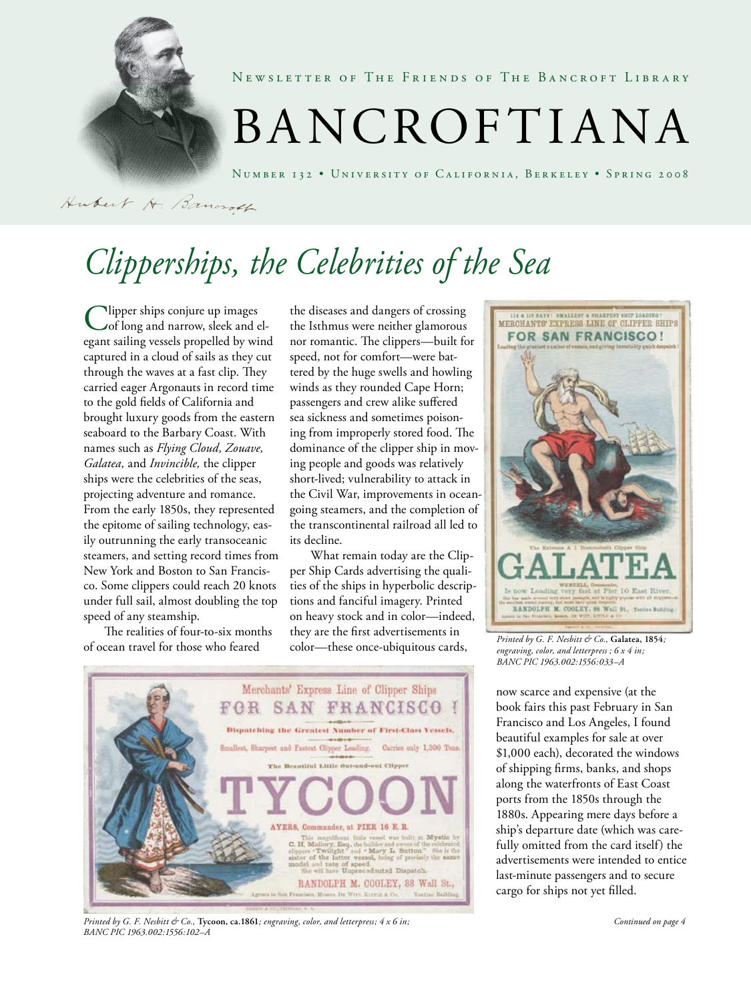

NEWSLETTER OF THE FRIENDS OF THE BANCROFT LIBRARY

# BANCROFTIANA

Number 132 • University of California, Berkeley • Spring 2008

Hubert H. Bancroth

# *Clipperships, the Celebrities of the Sea*

Clipper ships conjure up images of long and narrow, sleek and elegant sailing vessels propelled by wind captured in a cloud of sails as they cut through the waves at a fast clip. They carried eager Argonauts in record time to the gold fields of California and brought luxury goods from the eastern seaboard to the Barbary Coast. With names such as *Flying Cloud, Zouave, Galatea,* and *Invincible,* the clipper ships were the celebrities of the seas, projecting adventure and romance. From the early 1850s, they represented the epitome of sailing technology, easily outrunning the early transoceanic steamers, and setting record times from New York and Boston to San Francisco. Some clippers could reach 20 knots under full sail, almost doubling the top speed of any steamship.

The realities of four-to-six months of ocean travel for those who feared

the diseases and dangers of crossing the Isthmus were neither glamorous nor romantic. The clippers—built for speed, not for comfort—were battered by the huge swells and howling winds as they rounded Cape Horn; passengers and crew alike suffered sea sickness and sometimes poisoning from improperly stored food. The dominance of the clipper ship in moving people and goods was relatively short-lived; vulnerability to attack in the Civil War, improvements in oceangoing steamers, and the completion of the transcontinental railroad all led to its decline.

What remain today are the Clipper Ship Cards advertising the qualities of the ships in hyperbolic descriptions and fanciful imagery. Printed on heavy stock and in color—indeed, they are the first advertisements in color—these once-ubiquitous cards,



*Printed by G. F. Nesbitt & Co.,* **Tycoon, ca.1861***; engraving, color, and letterpress; 4 x 6 in; BANC PIC 1963.002:1556:102–A*



*Printed by G. F. Nesbitt & Co.,* **Galatea, 1854***; engraving, color, and letterpress ; 6 x 4 in; BANC PIC 1963.002:1556:033–A*

now scarce and expensive (at the book fairs this past February in San Francisco and Los Angeles, I found beautiful examples for sale at over \$1,000 each), decorated the windows of shipping firms, banks, and shops along the waterfronts of East Coast ports from the 1850s through the 1880s. Appearing mere days before a ship's departure date (which was carefully omitted from the card itself) the advertisements were intended to entice last-minute passengers and to secure cargo for ships not yet filled.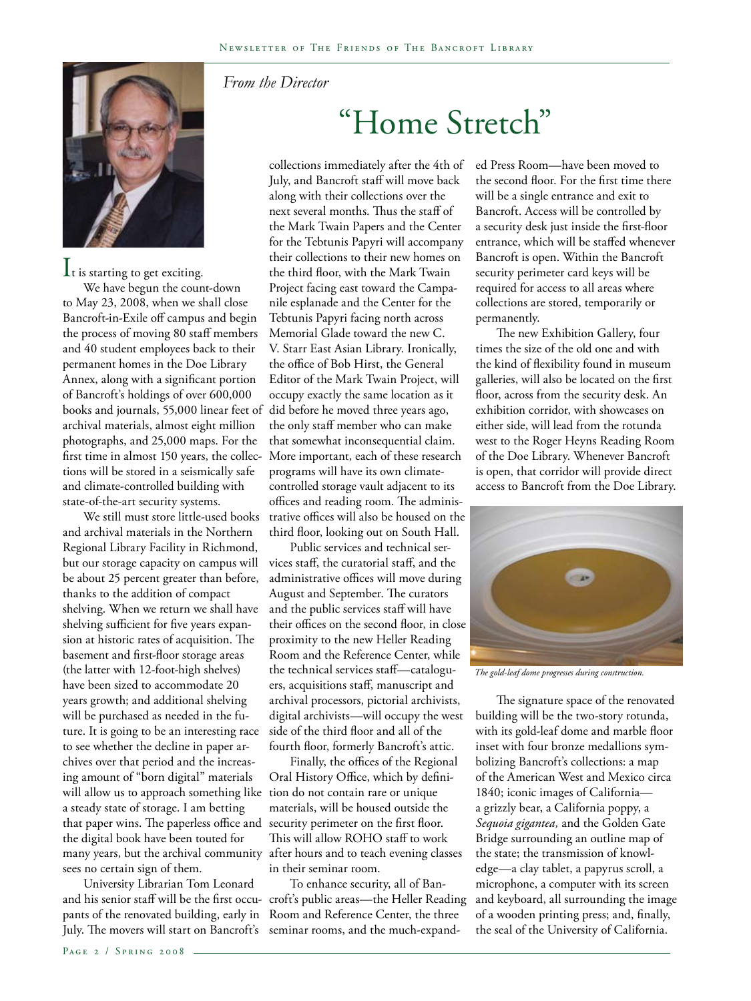

 $\mathbf{l}_t$  is starting to get exciting.

We have begun the count-down to May 23, 2008, when we shall close Bancroft-in-Exile off campus and begin the process of moving 80 staff members and 40 student employees back to their permanent homes in the Doe Library Annex, along with a significant portion of Bancroft's holdings of over 600,000 books and journals, 55,000 linear feet of archival materials, almost eight million photographs, and 25,000 maps. For the first time in almost 150 years, the collections will be stored in a seismically safe and climate-controlled building with state-of-the-art security systems.

We still must store little-used books and archival materials in the Northern Regional Library Facility in Richmond, but our storage capacity on campus will be about 25 percent greater than before, thanks to the addition of compact shelving. When we return we shall have shelving sufficient for five years expansion at historic rates of acquisition. The basement and first-floor storage areas (the latter with 12-foot-high shelves) have been sized to accommodate 20 years growth; and additional shelving will be purchased as needed in the future. It is going to be an interesting race to see whether the decline in paper archives over that period and the increasing amount of "born digital" materials will allow us to approach something like tion do not contain rare or unique a steady state of storage. I am betting that paper wins. The paperless office and the digital book have been touted for many years, but the archival community sees no certain sign of them.

University Librarian Tom Leonard pants of the renovated building, early in

### *From the Director*

## "Home Stretch"

collections immediately after the 4th of July, and Bancroft staff will move back along with their collections over the next several months. Thus the staff of the Mark Twain Papers and the Center for the Tebtunis Papyri will accompany their collections to their new homes on the third floor, with the Mark Twain Project facing east toward the Campanile esplanade and the Center for the Tebtunis Papyri facing north across Memorial Glade toward the new C. V. Starr East Asian Library. Ironically, the office of Bob Hirst, the General Editor of the Mark Twain Project, will occupy exactly the same location as it did before he moved three years ago, the only staff member who can make that somewhat inconsequential claim. More important, each of these research programs will have its own climatecontrolled storage vault adjacent to its offices and reading room. The administrative offices will also be housed on the third floor, looking out on South Hall.

Public services and technical services staff, the curatorial staff, and the administrative offices will move during August and September. The curators and the public services staff will have their offices on the second floor, in close proximity to the new Heller Reading Room and the Reference Center, while the technical services staff—cataloguers, acquisitions staff, manuscript and archival processors, pictorial archivists, digital archivists—will occupy the west side of the third floor and all of the fourth floor, formerly Bancroft's attic.

Finally, the offices of the Regional Oral History Office, which by definimaterials, will be housed outside the security perimeter on the first floor. This will allow ROHO staff to work after hours and to teach evening classes in their seminar room.

and his senior staff will be the first occu-croft's public areas—the Heller Reading July. The movers will start on Bancroft's seminar rooms, and the much-expand-To enhance security, all of Ban-Room and Reference Center, the three

ed Press Room—have been moved to the second floor. For the first time there will be a single entrance and exit to Bancroft. Access will be controlled by a security desk just inside the first-floor entrance, which will be staffed whenever Bancroft is open. Within the Bancroft security perimeter card keys will be required for access to all areas where collections are stored, temporarily or permanently.

The new Exhibition Gallery, four times the size of the old one and with the kind of flexibility found in museum galleries, will also be located on the first floor, across from the security desk. An exhibition corridor, with showcases on either side, will lead from the rotunda west to the Roger Heyns Reading Room of the Doe Library. Whenever Bancroft is open, that corridor will provide direct access to Bancroft from the Doe Library.



*The gold-leaf dome progresses during construction.* 

The signature space of the renovated building will be the two-story rotunda, with its gold-leaf dome and marble floor inset with four bronze medallions symbolizing Bancroft's collections: a map of the American West and Mexico circa 1840; iconic images of California a grizzly bear, a California poppy, a *Sequoia gigantea,* and the Golden Gate Bridge surrounding an outline map of the state; the transmission of knowledge—a clay tablet, a papyrus scroll, a microphone, a computer with its screen and keyboard, all surrounding the image of a wooden printing press; and, finally, the seal of the University of California.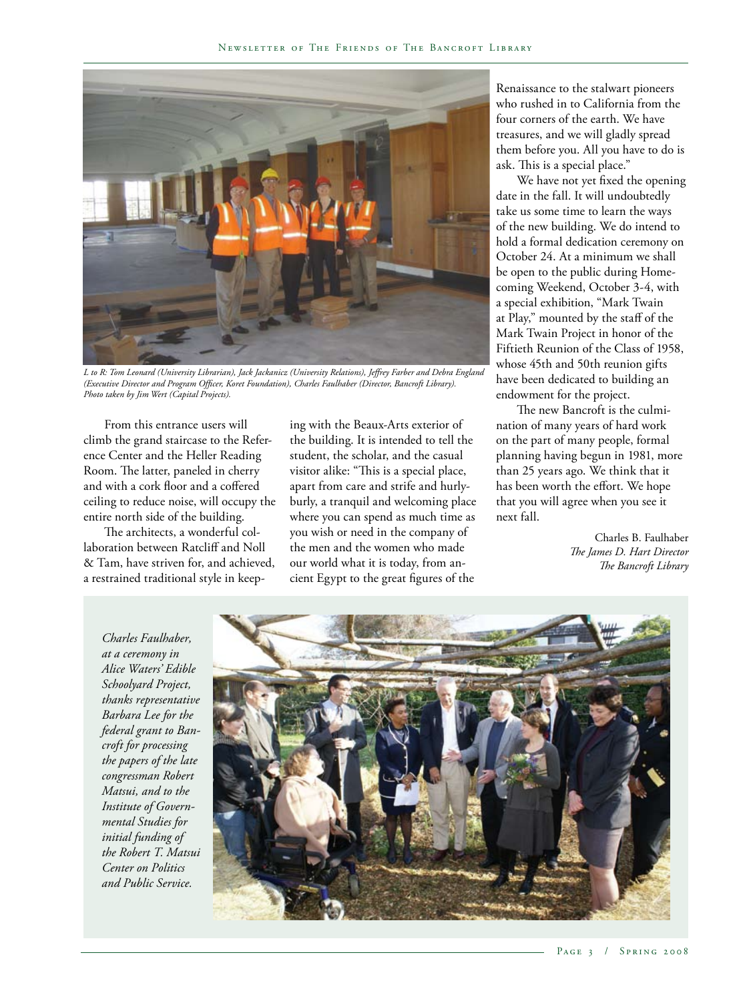

*L to R: Tom Leonard (University Librarian), Jack Jackanicz (University Relations), Jeffrey Farber and Debra England (Executive Director and Program Officer, Koret Foundation), Charles Faulhaber (Director, Bancroft Library). Photo taken by Jim Wert (Capital Projects).*

From this entrance users will climb the grand staircase to the Reference Center and the Heller Reading Room. The latter, paneled in cherry and with a cork floor and a coffered ceiling to reduce noise, will occupy the entire north side of the building.

The architects, a wonderful collaboration between Ratcliff and Noll & Tam, have striven for, and achieved, a restrained traditional style in keeping with the Beaux-Arts exterior of the building. It is intended to tell the student, the scholar, and the casual visitor alike: "This is a special place, apart from care and strife and hurlyburly, a tranquil and welcoming place where you can spend as much time as you wish or need in the company of the men and the women who made our world what it is today, from ancient Egypt to the great figures of the

Renaissance to the stalwart pioneers who rushed in to California from the four corners of the earth. We have treasures, and we will gladly spread them before you. All you have to do is ask. This is a special place."

We have not yet fixed the opening date in the fall. It will undoubtedly take us some time to learn the ways of the new building. We do intend to hold a formal dedication ceremony on October 24. At a minimum we shall be open to the public during Homecoming Weekend, October 3-4, with a special exhibition, "Mark Twain at Play," mounted by the staff of the Mark Twain Project in honor of the Fiftieth Reunion of the Class of 1958, whose 45th and 50th reunion gifts have been dedicated to building an endowment for the project.

The new Bancroft is the culmination of many years of hard work on the part of many people, formal planning having begun in 1981, more than 25 years ago. We think that it has been worth the effort. We hope that you will agree when you see it next fall.

> Charles B. Faulhaber *The James D. Hart Director The Bancroft Library*

*Charles Faulhaber, at a ceremony in Alice Waters' Edible Schoolyard Project, thanks representative Barbara Lee for the federal grant to Bancroft for processing the papers of the late congressman Robert Matsui, and to the Institute of Governmental Studies for initial funding of the Robert T. Matsui Center on Politics and Public Service.*

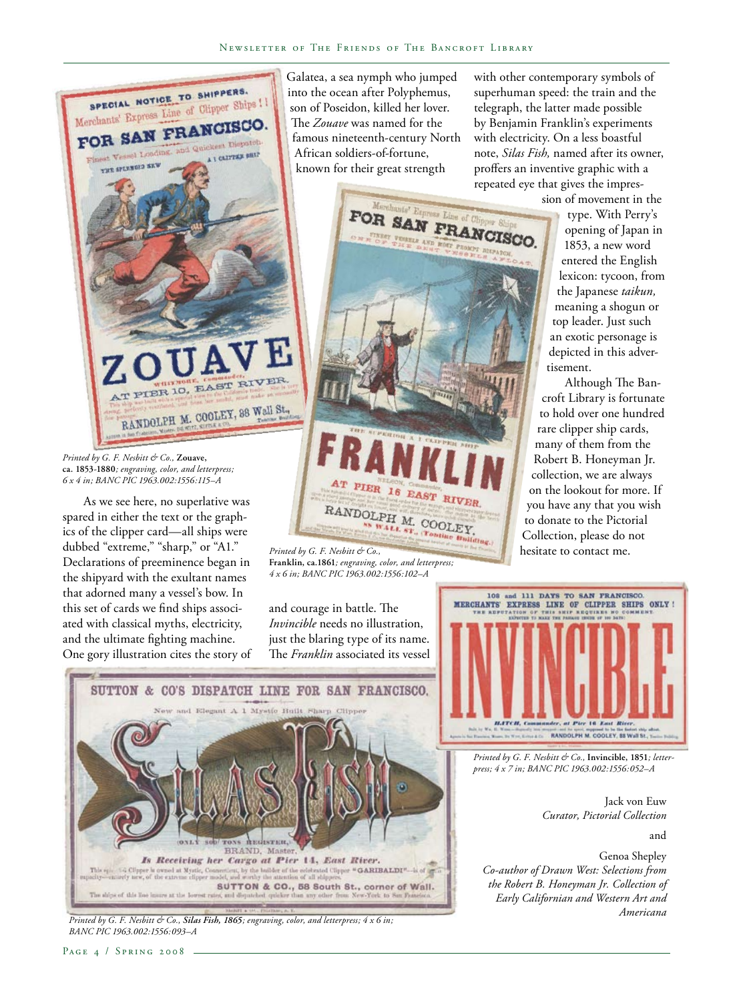

*Printed by G. F. Nesbitt & Co.,* **Zouave, ca. 1853-1880***; engraving, color, and letterpress; 6 x 4 in; BANC PIC 1963.002:1556:115–A*

As we see here, no superlative was spared in either the text or the graphics of the clipper card—all ships were dubbed "extreme," "sharp," or "A1." Declarations of preeminence began in the shipyard with the exultant names that adorned many a vessel's bow. In this set of cards we find ships associated with classical myths, electricity, and the ultimate fighting machine. One gory illustration cites the story of Galatea, a sea nymph who jumped into the ocean after Polyphemus, son of Poseidon, killed her lover. The *Zouave* was named for the famous nineteenth-century North African soldiers-of-fortune, known for their great strength

with other contemporary symbols of superhuman speed: the train and the telegraph, the latter made possible by Benjamin Franklin's experiments with electricity. On a less boastful note, *Silas Fish,* named after its owner, proffers an inventive graphic with a repeated eye that gives the impression of movement in the

tisement.

type. With Perry's opening of Japan in 1853, a new word entered the English lexicon: tycoon, from the Japanese *taikun,*  meaning a shogun or top leader. Just such an exotic personage is depicted in this adver-

Although The Bancroft Library is fortunate



*Printed by G. F. Nesbitt & Co.,*  **Franklin, ca.1861***; engraving, color, and letterpress; 4 x 6 in; BANC PIC 1963.002:1556:102–A*

and courage in battle. The *Invincible* needs no illustration, just the blaring type of its name. The *Franklin* associated its vessel 108 and 111 DAYS TO SAN FRANCISCO.<br>MERCHANTS' EXPRESS LINE OF CLIPPER SHIPS ONLY ! RANDOLPH M. COOLEY, 88 Wall St., 1.

> *Printed by G. F. Nesbitt & Co.,* **Invincible, 1851***; letterpress; 4 x 7 in; BANC PIC 1963.002:1556:052–A*

> > Jack von Euw *Curator, Pictorial Collection*

> > > and

Genoa Shepley *Co-author of Drawn West: Selections from the Robert B. Honeyman Jr. Collection of Early Californian and Western Art and Americana*



*Printed by G. F. Nesbitt & Co., Silas Fish, 1865; engraving, color, and letterpress; 4 x 6 in; BANC PIC 1963.002:1556:093–A*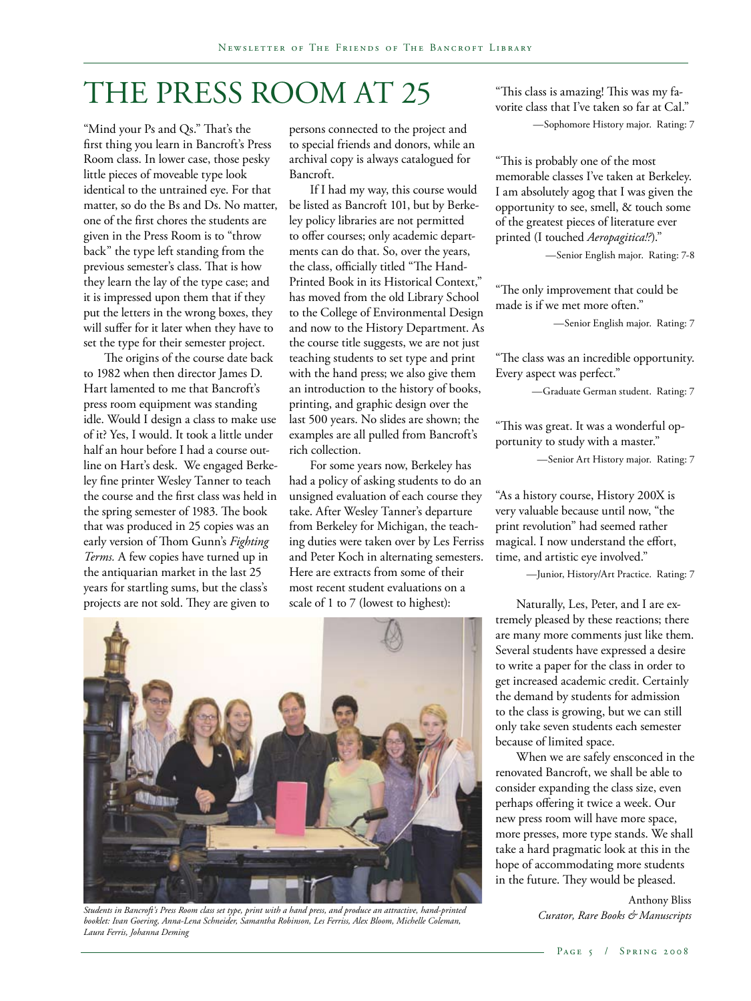## THE PRESS ROOM AT 25

"Mind your Ps and Qs." That's the first thing you learn in Bancroft's Press Room class. In lower case, those pesky little pieces of moveable type look identical to the untrained eye. For that matter, so do the Bs and Ds. No matter, one of the first chores the students are given in the Press Room is to "throw back" the type left standing from the previous semester's class. That is how they learn the lay of the type case; and it is impressed upon them that if they put the letters in the wrong boxes, they will suffer for it later when they have to set the type for their semester project.

The origins of the course date back to 1982 when then director James D. Hart lamented to me that Bancroft's press room equipment was standing idle. Would I design a class to make use of it? Yes, I would. It took a little under half an hour before I had a course outline on Hart's desk. We engaged Berkeley fine printer Wesley Tanner to teach the course and the first class was held in the spring semester of 1983. The book that was produced in 25 copies was an early version of Thom Gunn's *Fighting Terms.* A few copies have turned up in the antiquarian market in the last 25 years for startling sums, but the class's projects are not sold. They are given to

persons connected to the project and to special friends and donors, while an archival copy is always catalogued for Bancroft.

If I had my way, this course would be listed as Bancroft 101, but by Berkeley policy libraries are not permitted to offer courses; only academic departments can do that. So, over the years, the class, officially titled "The Hand-Printed Book in its Historical Context," has moved from the old Library School to the College of Environmental Design and now to the History Department. As the course title suggests, we are not just teaching students to set type and print with the hand press; we also give them an introduction to the history of books, printing, and graphic design over the last 500 years. No slides are shown; the examples are all pulled from Bancroft's rich collection.

For some years now, Berkeley has had a policy of asking students to do an unsigned evaluation of each course they take. After Wesley Tanner's departure from Berkeley for Michigan, the teaching duties were taken over by Les Ferriss and Peter Koch in alternating semesters. Here are extracts from some of their most recent student evaluations on a scale of 1 to 7 (lowest to highest):



*Students in Bancroft's Press Room class set type, print with a hand press, and produce an attractive, hand-printed booklet: Ivan Goering, Anna-Lena Schneider, Samantha Robinson, Les Ferriss, Alex Bloom, Michelle Coleman, Laura Ferris, Johanna Deming*

"This class is amazing! This was my favorite class that I've taken so far at Cal." —Sophomore History major. Rating: 7

"This is probably one of the most memorable classes I've taken at Berkeley. I am absolutely agog that I was given the opportunity to see, smell, & touch some of the greatest pieces of literature ever printed (I touched *Aeropagitica!?*)."

—Senior English major. Rating: 7-8

"The only improvement that could be made is if we met more often."

—Senior English major. Rating: 7

"The class was an incredible opportunity. Every aspect was perfect."

—Graduate German student. Rating: 7

"This was great. It was a wonderful opportunity to study with a master."

—Senior Art History major. Rating: 7

"As a history course, History 200X is very valuable because until now, "the print revolution" had seemed rather magical. I now understand the effort, time, and artistic eye involved."

—Junior, History/Art Practice. Rating: 7

Naturally, Les, Peter, and I are extremely pleased by these reactions; there are many more comments just like them. Several students have expressed a desire to write a paper for the class in order to get increased academic credit. Certainly the demand by students for admission to the class is growing, but we can still only take seven students each semester because of limited space.

When we are safely ensconced in the renovated Bancroft, we shall be able to consider expanding the class size, even perhaps offering it twice a week. Our new press room will have more space, more presses, more type stands. We shall take a hard pragmatic look at this in the hope of accommodating more students in the future. They would be pleased.

> Anthony Bliss *Curator, Rare Books & Manuscripts*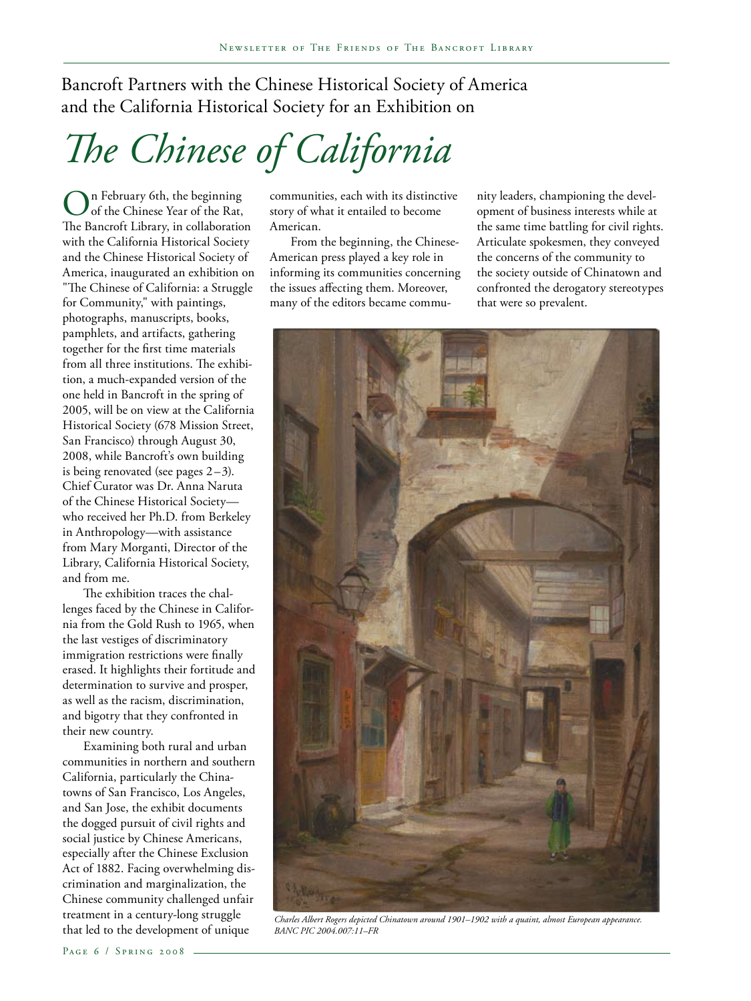Bancroft Partners with the Chinese Historical Society of America and the California Historical Society for an Exhibition on

# *The Chinese of California*

In February 6th, the beginning of the Chinese Year of the Rat, The Bancroft Library, in collaboration with the California Historical Society and the Chinese Historical Society of America, inaugurated an exhibition on "The Chinese of California: a Struggle for Community," with paintings, photographs, manuscripts, books, pamphlets, and artifacts, gathering together for the first time materials from all three institutions. The exhibition, a much-expanded version of the one held in Bancroft in the spring of 2005, will be on view at the California Historical Society (678 Mission Street, San Francisco) through August 30, 2008, while Bancroft's own building is being renovated (see pages  $2-3$ ). Chief Curator was Dr. Anna Naruta of the Chinese Historical Society who received her Ph.D. from Berkeley in Anthropology—with assistance from Mary Morganti, Director of the Library, California Historical Society, and from me.

The exhibition traces the challenges faced by the Chinese in California from the Gold Rush to 1965, when the last vestiges of discriminatory immigration restrictions were finally erased. It highlights their fortitude and determination to survive and prosper, as well as the racism, discrimination, and bigotry that they confronted in their new country.

Examining both rural and urban communities in northern and southern California, particularly the Chinatowns of San Francisco, Los Angeles, and San Jose, the exhibit documents the dogged pursuit of civil rights and social justice by Chinese Americans, especially after the Chinese Exclusion Act of 1882. Facing overwhelming discrimination and marginalization, the Chinese community challenged unfair treatment in a century-long struggle

communities, each with its distinctive story of what it entailed to become American.

From the beginning, the Chinese-American press played a key role in informing its communities concerning the issues affecting them. Moreover, many of the editors became commu-

nity leaders, championing the development of business interests while at the same time battling for civil rights. Articulate spokesmen, they conveyed the concerns of the community to the society outside of Chinatown and confronted the derogatory stereotypes that were so prevalent.



treatment in a century-iong struggie *charles Albert Rogers depicted Chinatown around 1901–1902 with a quaint, almost European appearance.*<br>that led to the development of unique *BANC PIC 2004.007:11–FR BANC PIC 2004.007:11–FR*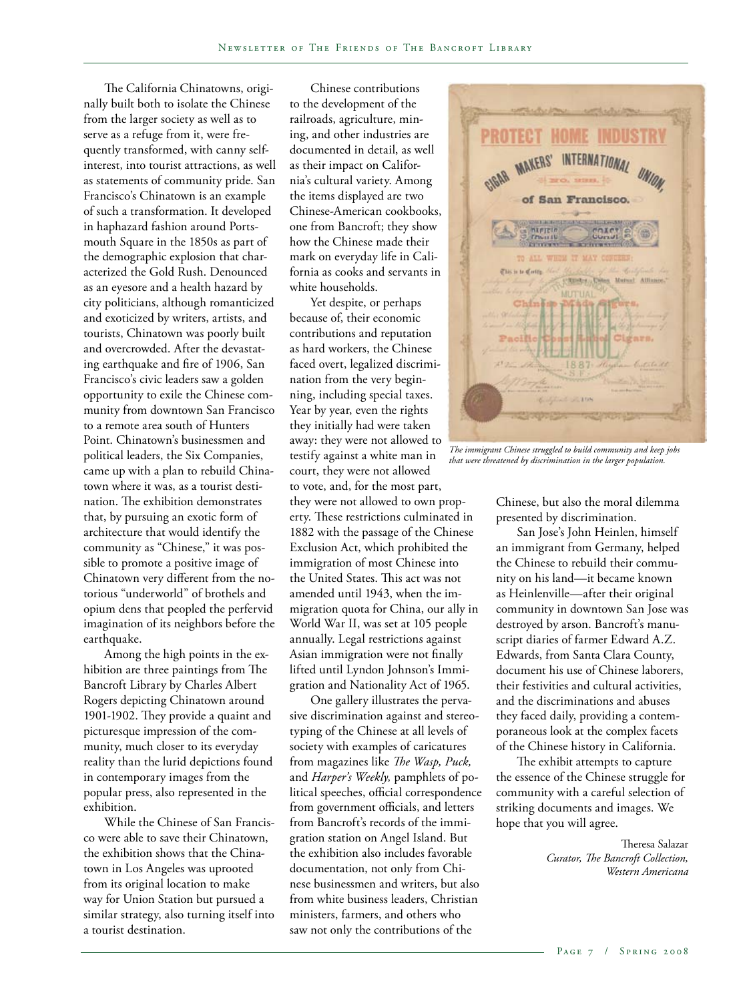The California Chinatowns, originally built both to isolate the Chinese from the larger society as well as to serve as a refuge from it, were frequently transformed, with canny selfinterest, into tourist attractions, as well as statements of community pride. San Francisco's Chinatown is an example of such a transformation. It developed in haphazard fashion around Portsmouth Square in the 1850s as part of the demographic explosion that characterized the Gold Rush. Denounced as an eyesore and a health hazard by city politicians, although romanticized and exoticized by writers, artists, and tourists, Chinatown was poorly built and overcrowded. After the devastating earthquake and fire of 1906, San Francisco's civic leaders saw a golden opportunity to exile the Chinese community from downtown San Francisco to a remote area south of Hunters Point. Chinatown's businessmen and political leaders, the Six Companies, came up with a plan to rebuild Chinatown where it was, as a tourist destination. The exhibition demonstrates that, by pursuing an exotic form of architecture that would identify the community as "Chinese," it was possible to promote a positive image of Chinatown very different from the notorious "underworld" of brothels and opium dens that peopled the perfervid imagination of its neighbors before the earthquake.

Among the high points in the exhibition are three paintings from The Bancroft Library by Charles Albert Rogers depicting Chinatown around 1901-1902. They provide a quaint and picturesque impression of the community, much closer to its everyday reality than the lurid depictions found in contemporary images from the popular press, also represented in the exhibition.

While the Chinese of San Francisco were able to save their Chinatown, the exhibition shows that the Chinatown in Los Angeles was uprooted from its original location to make way for Union Station but pursued a similar strategy, also turning itself into a tourist destination.

Chinese contributions to the development of the railroads, agriculture, mining, and other industries are documented in detail, as well as their impact on California's cultural variety. Among the items displayed are two Chinese-American cookbooks, one from Bancroft; they show how the Chinese made their mark on everyday life in California as cooks and servants in white households.

Yet despite, or perhaps because of, their economic contributions and reputation as hard workers, the Chinese faced overt, legalized discrimination from the very beginning, including special taxes. Year by year, even the rights they initially had were taken away: they were not allowed to testify against a white man in court, they were not allowed to vote, and, for the most part, they were not allowed to own property. These restrictions culminated in 1882 with the passage of the Chinese Exclusion Act, which prohibited the immigration of most Chinese into the United States. This act was not amended until 1943, when the immigration quota for China, our ally in World War II, was set at 105 people annually. Legal restrictions against Asian immigration were not finally lifted until Lyndon Johnson's Immigration and Nationality Act of 1965.

One gallery illustrates the pervasive discrimination against and stereotyping of the Chinese at all levels of society with examples of caricatures from magazines like *The Wasp, Puck,*  and *Harper's Weekly,* pamphlets of political speeches, official correspondence from government officials, and letters from Bancroft's records of the immigration station on Angel Island. But the exhibition also includes favorable documentation, not only from Chinese businessmen and writers, but also from white business leaders, Christian ministers, farmers, and others who saw not only the contributions of the



*The immigrant Chinese struggled to build community and keep jobs that were threatened by discrimination in the larger population.*

Chinese, but also the moral dilemma presented by discrimination.

San Jose's John Heinlen, himself an immigrant from Germany, helped the Chinese to rebuild their community on his land—it became known as Heinlenville—after their original community in downtown San Jose was destroyed by arson. Bancroft's manuscript diaries of farmer Edward A.Z. Edwards, from Santa Clara County, document his use of Chinese laborers, their festivities and cultural activities, and the discriminations and abuses they faced daily, providing a contemporaneous look at the complex facets of the Chinese history in California.

The exhibit attempts to capture the essence of the Chinese struggle for community with a careful selection of striking documents and images. We hope that you will agree.

> Theresa Salazar *Curator, The Bancroft Collection, Western Americana*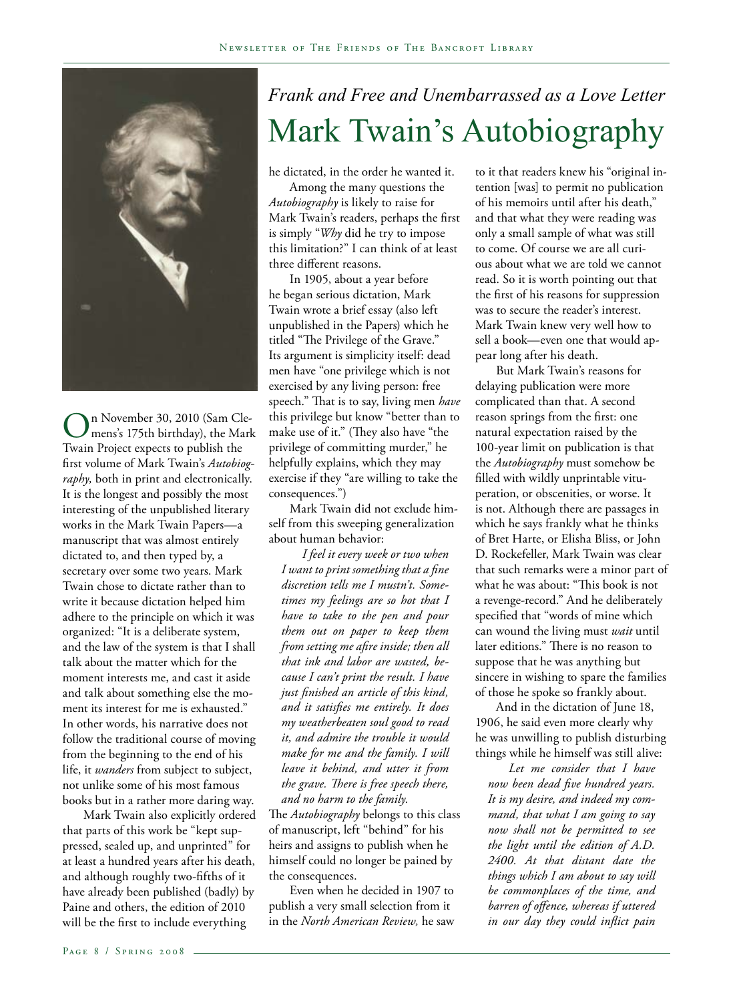

n November 30, 2010 (Sam Clemens's 175th birthday), the Mark Twain Project expects to publish the first volume of Mark Twain's *Autobiography,* both in print and electronically. It is the longest and possibly the most interesting of the unpublished literary works in the Mark Twain Papers—a manuscript that was almost entirely dictated to, and then typed by, a secretary over some two years. Mark Twain chose to dictate rather than to write it because dictation helped him adhere to the principle on which it was organized: "It is a deliberate system, and the law of the system is that I shall talk about the matter which for the moment interests me, and cast it aside and talk about something else the moment its interest for me is exhausted." In other words, his narrative does not follow the traditional course of moving from the beginning to the end of his life, it *wanders* from subject to subject, not unlike some of his most famous books but in a rather more daring way.

Mark Twain also explicitly ordered that parts of this work be "kept suppressed, sealed up, and unprinted" for at least a hundred years after his death, and although roughly two-fifths of it have already been published (badly) by Paine and others, the edition of 2010 will be the first to include everything

## *Frank and Free and Unembarrassed as a Love Letter* Mark Twain's Autobiography

he dictated, in the order he wanted it.

Among the many questions the *Autobiography* is likely to raise for Mark Twain's readers, perhaps the first is simply "*Why* did he try to impose this limitation?" I can think of at least three different reasons.

In 1905, about a year before he began serious dictation, Mark Twain wrote a brief essay (also left unpublished in the Papers) which he titled "The Privilege of the Grave." Its argument is simplicity itself: dead men have "one privilege which is not exercised by any living person: free speech." That is to say, living men *have*  this privilege but know "better than to make use of it." (They also have "the privilege of committing murder," he helpfully explains, which they may exercise if they "are willing to take the consequences.")

Mark Twain did not exclude himself from this sweeping generalization about human behavior:

*I feel it every week or two when I want to print something that a fine discretion tells me I mustn't. Sometimes my feelings are so hot that I have to take to the pen and pour them out on paper to keep them from setting me afire inside; then all that ink and labor are wasted, because I can't print the result. I have just finished an article of this kind, and it satisfies me entirely. It does my weatherbeaten soul good to read it, and admire the trouble it would make for me and the family. I will leave it behind, and utter it from the grave. There is free speech there, and no harm to the family.* 

The *Autobiography* belongs to this class of manuscript, left "behind" for his heirs and assigns to publish when he himself could no longer be pained by the consequences.

Even when he decided in 1907 to publish a very small selection from it in the *North American Review,* he saw to it that readers knew his "original intention [was] to permit no publication of his memoirs until after his death," and that what they were reading was only a small sample of what was still to come. Of course we are all curious about what we are told we cannot read. So it is worth pointing out that the first of his reasons for suppression was to secure the reader's interest. Mark Twain knew very well how to sell a book—even one that would appear long after his death.

But Mark Twain's reasons for delaying publication were more complicated than that. A second reason springs from the first: one natural expectation raised by the 100-year limit on publication is that the *Autobiography* must somehow be filled with wildly unprintable vituperation, or obscenities, or worse. It is not. Although there are passages in which he says frankly what he thinks of Bret Harte, or Elisha Bliss, or John D. Rockefeller, Mark Twain was clear that such remarks were a minor part of what he was about: "This book is not a revenge-record." And he deliberately specified that "words of mine which can wound the living must *wait* until later editions." There is no reason to suppose that he was anything but sincere in wishing to spare the families of those he spoke so frankly about.

And in the dictation of June 18, 1906, he said even more clearly why he was unwilling to publish disturbing things while he himself was still alive:

*Let me consider that I have now been dead five hundred years. It is my desire, and indeed my command, that what I am going to say now shall not be permitted to see the light until the edition of A.D. 2400. At that distant date the things which I am about to say will be commonplaces of the time, and barren of offence, whereas if uttered in our day they could inflict pain*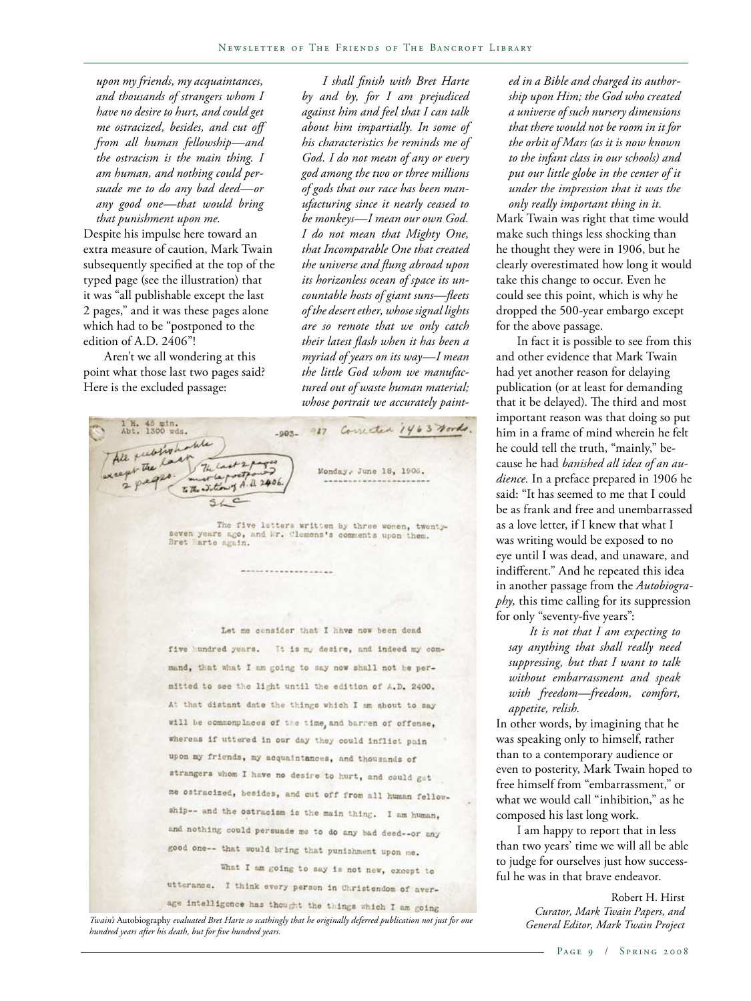*upon my friends, my acquaintances, and thousands of strangers whom I have no desire to hurt, and could get me ostracized, besides, and cut off from all human fellowship—and the ostracism is the main thing. I am human, and nothing could persuade me to do any bad deed—or any good one—that would bring that punishment upon me.*

Despite his impulse here toward an extra measure of caution, Mark Twain subsequently specified at the top of the typed page (see the illustration) that it was "all publishable except the last 2 pages," and it was these pages alone which had to be "postponed to the edition of A.D. 2406"!

Aren't we all wondering at this point what those last two pages said? Here is the excluded passage:

*I shall finish with Bret Harte by and by, for I am prejudiced against him and feel that I can talk about him impartially. In some of his characteristics he reminds me of God. I do not mean of any or every god among the two or three millions of gods that our race has been manufacturing since it nearly ceased to be monkeys—I mean our own God. I do not mean that Mighty One, that Incomparable One that created the universe and flung abroad upon its horizonless ocean of space its uncountable hosts of giant suns—fleets of the desert ether, whose signal lights are so remote that we only catch their latest flash when it has been a myriad of years on its way—I mean the little God whom we manufactured out of waste human material; whose portrait we accurately paint-*

1 H. 45 min.<br>Abt. 1300 wds. -903- 927 Correcter 1463 Nords. All fully holite The Monday, June 18, 1906. to the Sition of A.D. 2406

-------------------

The five letters written by three women, twenty-seven years ago, and Mr. Clemens's comments upon them. Bret Harte again.

Let me consider that I have now been dead five hundred years. It is my desire, and indeed my command, that what I am going to say now shall not be permitted to see the light until the edition of A.D. 2400. At that distant date the things which I am about to say will be commonplaces of the time, and barren of offense, whereas if uttered in our day they could inflict pain upon my friends, my acquaintances, and thousands of strangers whom I have no desire to hurt, and could get me ostracized, besides, and cut off from all human fellowship-- and the ostracism is the main thing. I am human, and nothing could persuade me to do any bad deed -- or any good one-- that would bring that punishment upon me. What I am going to say is not new, except to utterance. I think every person in Christendom of aver-

age intelligence has thought the things which I am going *General Editor, Mark Twain Project Twain's* Autobiography *evaluated Bret Harte so scathingly that he originally deferred publication not just for one hundred years after his death, but for five hundred years.* 

*ed in a Bible and charged its authorship upon Him; the God who created a universe of such nursery dimensions that there would not be room in it for the orbit of Mars (as it is now known to the infant class in our schools) and put our little globe in the center of it under the impression that it was the only really important thing in it.*

Mark Twain was right that time would make such things less shocking than he thought they were in 1906, but he clearly overestimated how long it would take this change to occur. Even he could see this point, which is why he dropped the 500-year embargo except for the above passage.

In fact it is possible to see from this and other evidence that Mark Twain had yet another reason for delaying publication (or at least for demanding that it be delayed). The third and most important reason was that doing so put him in a frame of mind wherein he felt he could tell the truth, "mainly," because he had *banished all idea of an audience.* In a preface prepared in 1906 he said: "It has seemed to me that I could be as frank and free and unembarrassed as a love letter, if I knew that what I was writing would be exposed to no eye until I was dead, and unaware, and indifferent." And he repeated this idea in another passage from the *Autobiography,* this time calling for its suppression for only "seventy-five years":

*It is not that I am expecting to say anything that shall really need suppressing, but that I want to talk without embarrassment and speak with freedom—freedom, comfort, appetite, relish.*

In other words, by imagining that he was speaking only to himself, rather than to a contemporary audience or even to posterity, Mark Twain hoped to free himself from "embarrassment," or what we would call "inhibition," as he composed his last long work.

I am happy to report that in less than two years' time we will all be able to judge for ourselves just how successful he was in that brave endeavor.

> Robert H. Hirst *Curator, Mark Twain Papers, and*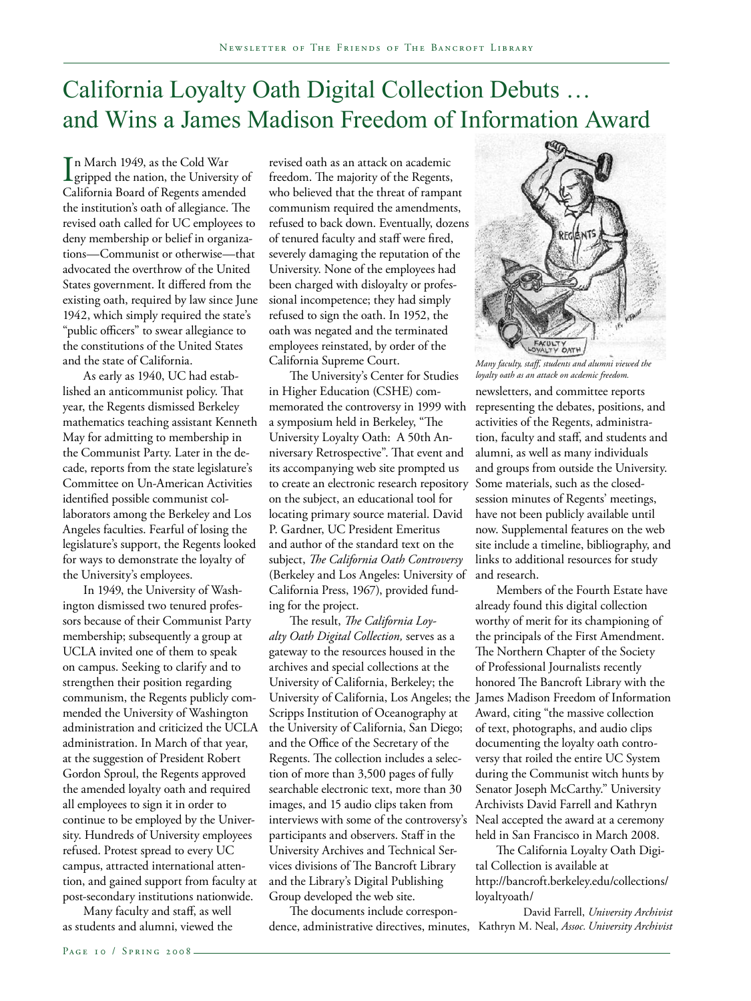## California Loyalty Oath Digital Collection Debuts … and Wins a James Madison Freedom of Information Award

 $\prod_{\text{gripped}}$  the nation, the University of n March 1949, as the Cold War California Board of Regents amended the institution's oath of allegiance. The revised oath called for UC employees to deny membership or belief in organizations—Communist or otherwise—that advocated the overthrow of the United States government. It differed from the existing oath, required by law since June 1942, which simply required the state's "public officers" to swear allegiance to the constitutions of the United States and the state of California.

As early as 1940, UC had established an anticommunist policy. That year, the Regents dismissed Berkeley mathematics teaching assistant Kenneth May for admitting to membership in the Communist Party. Later in the decade, reports from the state legislature's Committee on Un-American Activities identified possible communist collaborators among the Berkeley and Los Angeles faculties. Fearful of losing the legislature's support, the Regents looked for ways to demonstrate the loyalty of the University's employees.

In 1949, the University of Washington dismissed two tenured professors because of their Communist Party membership; subsequently a group at UCLA invited one of them to speak on campus. Seeking to clarify and to strengthen their position regarding communism, the Regents publicly commended the University of Washington administration and criticized the UCLA administration. In March of that year, at the suggestion of President Robert Gordon Sproul, the Regents approved the amended loyalty oath and required all employees to sign it in order to continue to be employed by the University. Hundreds of University employees refused. Protest spread to every UC campus, attracted international attention, and gained support from faculty at post-secondary institutions nationwide.

Many faculty and staff, as well as students and alumni, viewed the revised oath as an attack on academic freedom. The majority of the Regents, who believed that the threat of rampant communism required the amendments, refused to back down. Eventually, dozens of tenured faculty and staff were fired, severely damaging the reputation of the University. None of the employees had been charged with disloyalty or professional incompetence; they had simply refused to sign the oath. In 1952, the oath was negated and the terminated employees reinstated, by order of the California Supreme Court.

The University's Center for Studies in Higher Education (CSHE) commemorated the controversy in 1999 with a symposium held in Berkeley, "The University Loyalty Oath: A 50th Anniversary Retrospective". That event and its accompanying web site prompted us to create an electronic research repository on the subject, an educational tool for locating primary source material. David P. Gardner, UC President Emeritus and author of the standard text on the subject, *The California Oath Controversy*  (Berkeley and Los Angeles: University of California Press, 1967), provided funding for the project.

The result, *The California Loyalty Oath Digital Collection,* serves as a gateway to the resources housed in the archives and special collections at the University of California, Berkeley; the University of California, Los Angeles; the James Madison Freedom of Information Scripps Institution of Oceanography at the University of California, San Diego; and the Office of the Secretary of the Regents. The collection includes a selection of more than 3,500 pages of fully searchable electronic text, more than 30 images, and 15 audio clips taken from interviews with some of the controversy's Neal accepted the award at a ceremony participants and observers. Staff in the University Archives and Technical Services divisions of The Bancroft Library and the Library's Digital Publishing Group developed the web site.

The documents include correspondence, administrative directives, minutes, Kathryn M. Neal, *Assoc. University Archivist*



newsletters, and committee reports representing the debates, positions, and activities of the Regents, administration, faculty and staff, and students and alumni, as well as many individuals and groups from outside the University. Some materials, such as the closedsession minutes of Regents' meetings, have not been publicly available until now. Supplemental features on the web site include a timeline, bibliography, and links to additional resources for study and research. *Many faculty, staff, students and alumni viewed the loyalty oath as an attack on acdemic freedom.*

Members of the Fourth Estate have already found this digital collection worthy of merit for its championing of the principals of the First Amendment. The Northern Chapter of the Society of Professional Journalists recently honored The Bancroft Library with the Award, citing "the massive collection of text, photographs, and audio clips documenting the loyalty oath controversy that roiled the entire UC System during the Communist witch hunts by Senator Joseph McCarthy." University Archivists David Farrell and Kathryn held in San Francisco in March 2008.

The California Loyalty Oath Digital Collection is available at http://bancroft.berkeley.edu/collections/ loyaltyoath/

David Farrell, *University Archivist*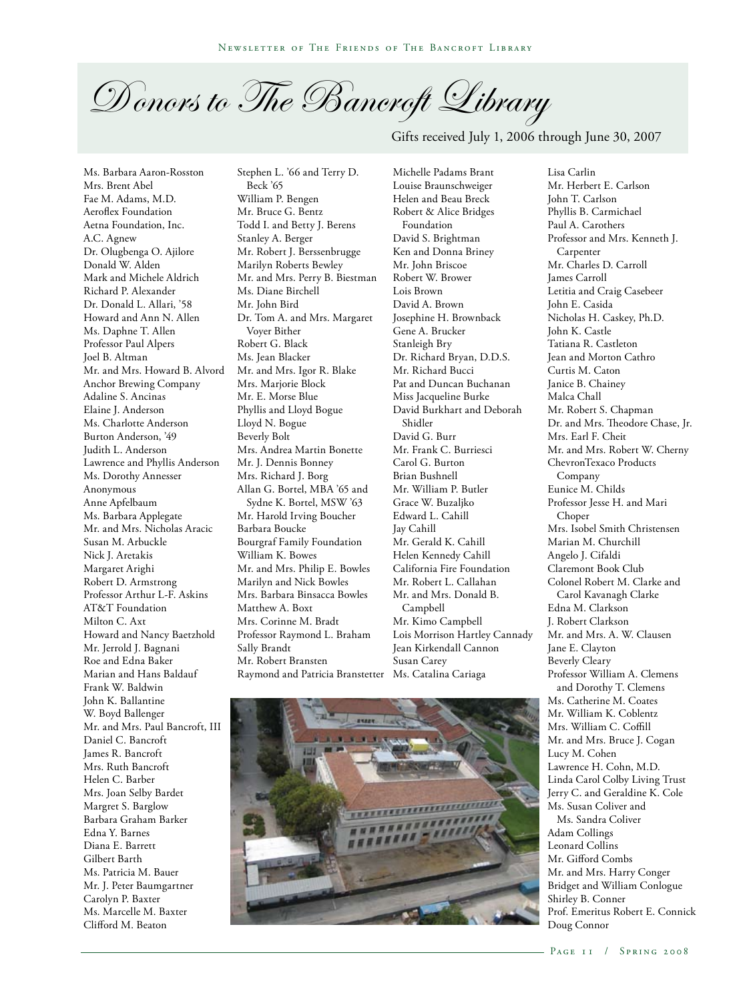D onors to The Bancroft Library

Gifts received July 1, 2006 through June 30, 2007

Ms. Barbara Aaron-Rosston Mrs. Brent Abel Fae M. Adams, M.D. Aeroflex Foundation Aetna Foundation, Inc. A.C. Agnew Dr. Olugbenga O. Ajilore Donald W. Alden Mark and Michele Aldrich Richard P. Alexander Dr. Donald L. Allari, '58 Howard and Ann N. Allen Ms. Daphne T. Allen Professor Paul Alpers Joel B. Altman Mr. and Mrs. Howard B. Alvord Anchor Brewing Company Adaline S. Ancinas Elaine J. Anderson Ms. Charlotte Anderson Burton Anderson, '49 Judith L. Anderson Lawrence and Phyllis Anderson Ms. Dorothy Annesser Anonymous Anne Apfelbaum Ms. Barbara Applegate Mr. and Mrs. Nicholas Aracic Susan M. Arbuckle Nick J. Aretakis Margaret Arighi Robert D. Armstrong Professor Arthur L-F. Askins AT&T Foundation Milton C. Axt Howard and Nancy Baetzhold Mr. Jerrold J. Bagnani Roe and Edna Baker Marian and Hans Baldauf Frank W. Baldwin John K. Ballantine W. Boyd Ballenger Mr. and Mrs. Paul Bancroft, III Daniel C. Bancroft James R. Bancroft Mrs. Ruth Bancroft Helen C. Barber Mrs. Joan Selby Bardet Margret S. Barglow Barbara Graham Barker Edna Y. Barnes Diana E. Barrett Gilbert Barth Ms. Patricia M. Bauer Mr. J. Peter Baumgartner Carolyn P. Baxter Ms. Marcelle M. Baxter Clifford M. Beaton

Stephen L. '66 and Terry D. Beck '65 William P. Bengen Mr. Bruce G. Bentz Todd I. and Betty J. Berens Stanley A. Berger Mr. Robert J. Berssenbrugge Marilyn Roberts Bewley Mr. and Mrs. Perry B. Biestman Ms. Diane Birchell Mr. John Bird Dr. Tom A. and Mrs. Margaret Voyer Bither Robert G. Black Ms. Jean Blacker Mr. and Mrs. Igor R. Blake Mrs. Marjorie Block Mr. E. Morse Blue Phyllis and Lloyd Bogue Lloyd N. Bogue Beverly Bolt Mrs. Andrea Martin Bonette Mr. J. Dennis Bonney Mrs. Richard J. Borg Allan G. Bortel, MBA '65 and Sydne K. Bortel, MSW '63 Mr. Harold Irving Boucher Barbara Boucke Bourgraf Family Foundation William K. Bowes Mr. and Mrs. Philip E. Bowles Marilyn and Nick Bowles Mrs. Barbara Binsacca Bowles Matthew A. Boxt Mrs. Corinne M. Bradt Professor Raymond L. Braham Sally Brandt Mr. Robert Bransten Raymond and Patricia Branstetter Ms. Catalina Cariaga

Michelle Padams Brant Louise Braunschweiger Helen and Beau Breck Robert & Alice Bridges Foundation David S. Brightman Ken and Donna Briney Mr. John Briscoe Robert W. Brower Lois Brown David A. Brown Josephine H. Brownback Gene A. Brucker Stanleigh Bry Dr. Richard Bryan, D.D.S. Mr. Richard Bucci Pat and Duncan Buchanan Miss Jacqueline Burke David Burkhart and Deborah Shidler David G. Burr Mr. Frank C. Burriesci Carol G. Burton Brian Bushnell Mr. William P. Butler Grace W. Buzaljko Edward L. Cahill Jay Cahill Mr. Gerald K. Cahill Helen Kennedy Cahill California Fire Foundation Mr. Robert L. Callahan Mr. and Mrs. Donald B. Campbell Mr. Kimo Campbell Lois Morrison Hartley Cannady Jean Kirkendall Cannon Susan Carey

Lisa Carlin Mr. Herbert E. Carlson John T. Carlson Phyllis B. Carmichael Paul A. Carothers Professor and Mrs. Kenneth J. Carpenter Mr. Charles D. Carroll James Carroll Letitia and Craig Casebeer John E. Casida Nicholas H. Caskey, Ph.D. John K. Castle Tatiana R. Castleton Jean and Morton Cathro Curtis M. Caton Janice B. Chainey Malca Chall Mr. Robert S. Chapman Dr. and Mrs. Theodore Chase, Jr. Mrs. Earl F. Cheit Mr. and Mrs. Robert W. Cherny ChevronTexaco Products Company Eunice M. Childs Professor Jesse H. and Mari Choper Mrs. Isobel Smith Christensen Marian M. Churchill Angelo J. Cifaldi Claremont Book Club Colonel Robert M. Clarke and Carol Kavanagh Clarke Edna M. Clarkson J. Robert Clarkson Mr. and Mrs. A. W. Clausen Jane E. Clayton Beverly Cleary Professor William A. Clemens and Dorothy T. Clemens Ms. Catherine M. Coates Mr. William K. Coblentz Mrs. William C. Coffill Mr. and Mrs. Bruce J. Cogan Lucy M. Cohen Lawrence H. Cohn, M.D. Linda Carol Colby Living Trust Jerry C. and Geraldine K. Cole Ms. Susan Coliver and Ms. Sandra Coliver Adam Collings Leonard Collins Mr. Gifford Combs Mr. and Mrs. Harry Conger Bridget and William Conlogue Shirley B. Conner Prof. Emeritus Robert E. Connick

Doug Connor

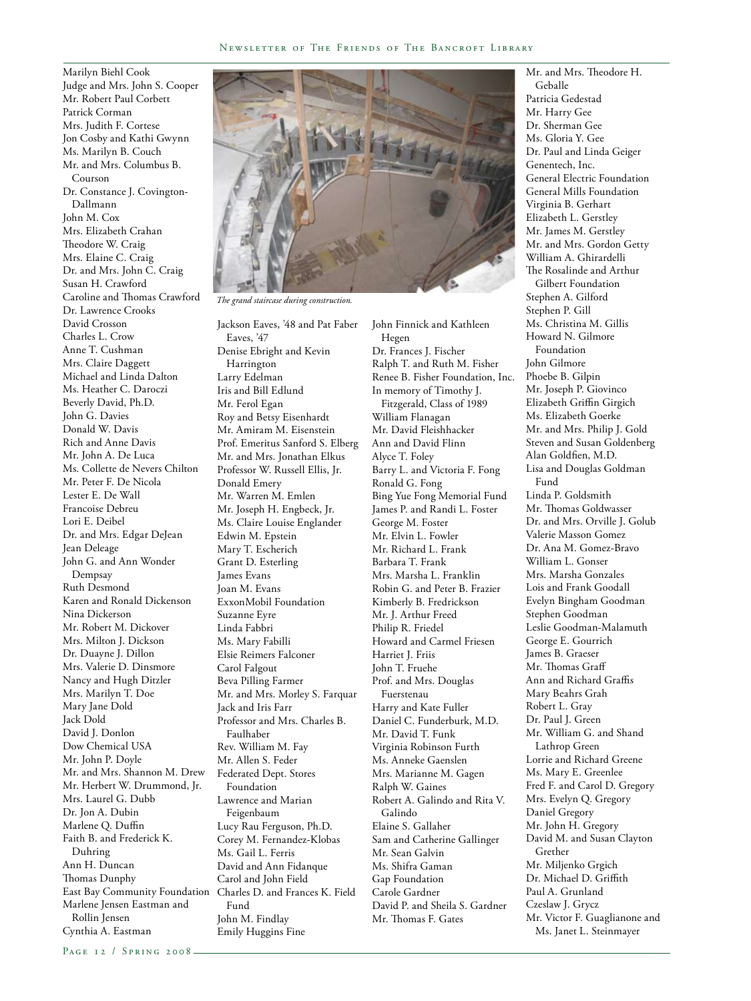Marilyn Biehl Cook Judge and Mrs. John S. Cooper Mr. Robert Paul Corbett Patrick Corman Mrs. Judith F. Cortese Jon Cosby and Kathi Gwynn Ms. Marilyn B. Couch Mr. and Mrs. Columbus B. Courson Dr. Constance J. Covington-Dallmann John M. Cox Mrs. Elizabeth Crahan Theodore W. Craig Mrs. Elaine C. Craig Dr. and Mrs. John C. Craig Susan H. Crawford Caroline and Thomas Crawford Dr. Lawrence Crooks David Crosson Charles L. Crow Anne T. Cushman Mrs. Claire Daggett Michael and Linda Dalton Ms. Heather C. Daroczi Beverly David, Ph.D. John G. Davies Donald W. Davis Rich and Anne Davis Mr. John A. De Luca Ms. Collette de Nevers Chilton Mr. Peter F. De Nicola Lester E. De Wall Francoise Debreu Lori E. Deibel Dr. and Mrs. Edgar DeJean Jean Deleage John G. and Ann Wonder Dempsay Ruth Desmond Karen and Ronald Dickenson Nina Dickerson Mr. Robert M. Dickover Mrs. Milton J. Dickson Dr. Duayne J. Dillon Mrs. Valerie D. Dinsmore Nancy and Hugh Ditzler Mrs. Marilyn T. Doe Mary Jane Dold Jack Dold David J. Donlon Dow Chemical USA Mr. John P. Doyle Mr. and Mrs. Shannon M. Drew Mr. Herbert W. Drummond, Jr. Mrs. Laurel G. Dubb Dr. Jon A. Dubin Marlene Q. Duffin Faith B. and Frederick K. Duhring Ann H. Duncan Thomas Dunphy East Bay Community Foundation Marlene Jensen Eastman and Rollin Jensen Cynthia A. Eastman



*The grand staircase during construction.*

Jackson Eaves, '48 and Pat Faber Eaves, '47 Denise Ebright and Kevin Harrington Larry Edelman Iris and Bill Edlund Mr. Ferol Egan Roy and Betsy Eisenhardt Mr. Amiram M. Eisenstein Prof. Emeritus Sanford S. Elberg Mr. and Mrs. Jonathan Elkus Professor W. Russell Ellis, Jr. Donald Emery Mr. Warren M. Emlen Mr. Joseph H. Engbeck, Jr. Ms. Claire Louise Englander Edwin M. Epstein Mary T. Escherich Grant D. Esterling James Evans Joan M. Evans ExxonMobil Foundation Suzanne Eyre Linda Fabbri Ms. Mary Fabilli Elsie Reimers Falconer Carol Falgout Beva Pilling Farmer Mr. and Mrs. Morley S. Farquar Jack and Iris Farr Professor and Mrs. Charles B. Faulhaber Rev. William M. Fay Mr. Allen S. Feder Federated Dept. Stores Foundation Lawrence and Marian Feigenbaum Lucy Rau Ferguson, Ph.D. Corey M. Fernandez-Klobas Ms. Gail L. Ferris David and Ann Fidanque Carol and John Field Charles D. and Frances K. Field Fund John M. Findlay Emily Huggins Fine

John Finnick and Kathleen Hegen Dr. Frances J. Fischer Ralph T. and Ruth M. Fisher Renee B. Fisher Foundation, Inc. In memory of Timothy J. Fitzgerald, Class of 1989 William Flanagan Mr. David Fleishhacker Ann and David Flinn Alyce T. Foley Barry L. and Victoria F. Fong Ronald G. Fong Bing Yue Fong Memorial Fund James P. and Randi L. Foster George M. Foster Mr. Elvin L. Fowler Mr. Richard L. Frank Barbara T. Frank Mrs. Marsha L. Franklin Robin G. and Peter B. Frazier Kimberly B. Fredrickson Mr. J. Arthur Freed Philip R. Friedel Howard and Carmel Friesen Harriet J. Friis John T. Fruehe Prof. and Mrs. Douglas Fuerstenau Harry and Kate Fuller Daniel C. Funderburk, M.D. Mr. David T. Funk Virginia Robinson Furth Ms. Anneke Gaenslen Mrs. Marianne M. Gagen Ralph W. Gaines Robert A. Galindo and Rita V. Galindo Elaine S. Gallaher Sam and Catherine Gallinger Mr. Sean Galvin Ms. Shifra Gaman Gap Foundation Carole Gardner David P. and Sheila S. Gardner Mr. Thomas F. Gates

Mr. and Mrs. Theodore H. Geballe Patricia Gedestad Mr. Harry Gee Dr. Sherman Gee Ms. Gloria Y. Gee Dr. Paul and Linda Geiger Genentech, Inc. General Electric Foundation General Mills Foundation Virginia B. Gerhart Elizabeth L. Gerstley Mr. James M. Gerstley Mr. and Mrs. Gordon Getty William A. Ghirardelli The Rosalinde and Arthur Gilbert Foundation Stephen A. Gilford Stephen P. Gill Ms. Christina M. Gillis Howard N. Gilmore Foundation John Gilmore Phoebe B. Gilpin Mr. Joseph P. Giovinco Elizabeth Griffin Girgich Ms. Elizabeth Goerke Mr. and Mrs. Philip J. Gold Steven and Susan Goldenberg Alan Goldfien, M.D. Lisa and Douglas Goldman Fund Linda P. Goldsmith Mr. Thomas Goldwasser Dr. and Mrs. Orville J. Golub Valerie Masson Gomez Dr. Ana M. Gomez-Bravo William L. Gonser Mrs. Marsha Gonzales Lois and Frank Goodall Evelyn Bingham Goodman Stephen Goodman Leslie Goodman-Malamuth George E. Gourrich James B. Graeser Mr. Thomas Graff Ann and Richard Graffis Mary Beahrs Grah Robert L. Gray Dr. Paul J. Green Mr. William G. and Shand Lathrop Green Lorrie and Richard Greene Ms. Mary E. Greenlee Fred F. and Carol D. Gregory Mrs. Evelyn Q. Gregory Daniel Gregory Mr. John H. Gregory David M. and Susan Clayton Grether Mr. Miljenko Grgich Dr. Michael D. Griffith Paul A. Grunland Czeslaw J. Grycz Mr. Victor F. Guaglianone and Ms. Janet L. Steinmayer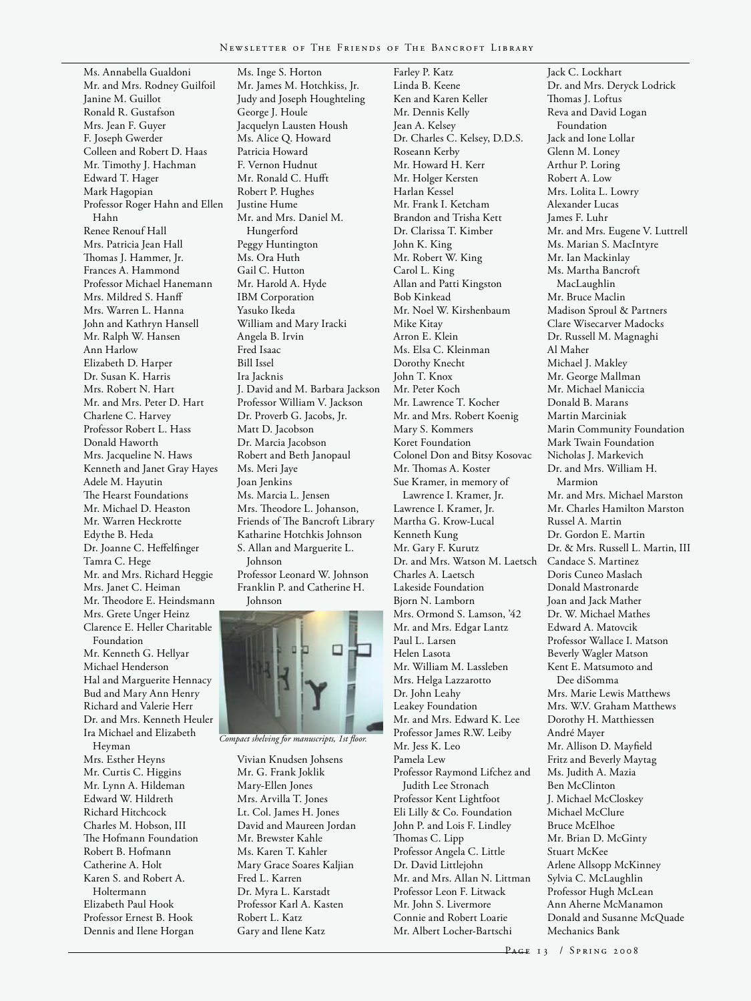Farley P. Katz

Ms. Annabella Gualdoni Mr. and Mrs. Rodney Guilfoil Janine M. Guillot Ronald R. Gustafson Mrs. Jean F. Guyer F. Joseph Gwerder Colleen and Robert D. Haas Mr. Timothy J. Hachman Edward T. Hager Mark Hagopian Professor Roger Hahn and Ellen Hahn Renee Renouf Hall Mrs. Patricia Jean Hall Thomas J. Hammer, Jr. Frances A. Hammond Professor Michael Hanemann Mrs. Mildred S. Hanff Mrs. Warren L. Hanna John and Kathryn Hansell Mr. Ralph W. Hansen Ann Harlow Elizabeth D. Harper Dr. Susan K. Harris Mrs. Robert N. Hart Mr. and Mrs. Peter D. Hart Charlene C. Harvey Professor Robert L. Hass Donald Haworth Mrs. Jacqueline N. Haws Kenneth and Janet Gray Hayes Adele M. Hayutin The Hearst Foundations Mr. Michael D. Heaston Mr. Warren Heckrotte Edythe B. Heda Dr. Joanne C. Heffelfinger Tamra C. Hege Mr. and Mrs. Richard Heggie Mrs. Janet C. Heiman Mr. Theodore E. Heindsmann Mrs. Grete Unger Heinz Clarence E. Heller Charitable Foundation Mr. Kenneth G. Hellyar Michael Henderson Hal and Marguerite Hennacy Bud and Mary Ann Henry Richard and Valerie Herr Dr. and Mrs. Kenneth Heuler Ira Michael and Elizabeth Heyman

Mrs. Esther Heyns Mr. Curtis C. Higgins Mr. Lynn A. Hildeman Edward W. Hildreth Richard Hitchcock Charles M. Hobson, III The Hofmann Foundation Robert B. Hofmann Catherine A. Holt Karen S. and Robert A. Holtermann Elizabeth Paul Hook Professor Ernest B. Hook Dennis and Ilene Horgan

Ms. Inge S. Horton Mr. James M. Hotchkiss, Jr. Judy and Joseph Houghteling George J. Houle Jacquelyn Lausten Housh Ms. Alice Q. Howard Patricia Howard F. Vernon Hudnut Mr. Ronald C. Hufft Robert P. Hughes Justine Hume Mr. and Mrs. Daniel M. Hungerford Peggy Huntington Ms. Ora Huth Gail C. Hutton Mr. Harold A. Hyde IBM Corporation Yasuko Ikeda William and Mary Iracki Angela B. Irvin Fred Isaac Bill Issel Ira Jacknis J. David and M. Barbara Jackson Professor William V. Jackson Dr. Proverb G. Jacobs, Jr. Matt D. Jacobson Dr. Marcia Jacobson Robert and Beth Janopaul Ms. Meri Jaye Joan Jenkins Ms. Marcia L. Jensen Mrs. Theodore L. Johanson, Friends of The Bancroft Library Katharine Hotchkis Johnson S. Allan and Marguerite L. Johnson Professor Leonard W. Johnson Franklin P. and Catherine H. Johnson



*Compact shelving for manuscripts, 1st floor.*

Vivian Knudsen Johsens Mr. G. Frank Joklik Mary-Ellen Jones Mrs. Arvilla T. Jones Lt. Col. James H. Jones David and Maureen Jordan Mr. Brewster Kahle Ms. Karen T. Kahler Mary Grace Soares Kaljian Fred L. Karren Dr. Myra L. Karstadt Professor Karl A. Kasten Robert L. Katz Gary and Ilene Katz

Linda B. Keene Ken and Karen Keller Mr. Dennis Kelly Jean A. Kelsey Dr. Charles C. Kelsey, D.D.S. Roseann Kerby Mr. Howard H. Kerr Mr. Holger Kersten Harlan Kessel Mr. Frank I. Ketcham Brandon and Trisha Kett Dr. Clarissa T. Kimber John K. King Mr. Robert W. King Carol L. King Allan and Patti Kingston Bob Kinkead Mr. Noel W. Kirshenbaum Mike Kitay Arron E. Klein Ms. Elsa C. Kleinman Dorothy Knecht John T. Knox Mr. Peter Koch Mr. Lawrence T. Kocher Mr. and Mrs. Robert Koenig Mary S. Kommers Koret Foundation Colonel Don and Bitsy Kosovac Mr. Thomas A. Koster Sue Kramer, in memory of Lawrence I. Kramer, Jr. Lawrence I. Kramer, Jr. Martha G. Krow-Lucal Kenneth Kung Mr. Gary F. Kurutz Dr. and Mrs. Watson M. Laetsch Charles A. Laetsch Lakeside Foundation Bjorn N. Lamborn Mrs. Ormond S. Lamson, '42 Mr. and Mrs. Edgar Lantz Paul L. Larsen Helen Lasota Mr. William M. Lassleben Mrs. Helga Lazzarotto Dr. John Leahy Leakey Foundation Mr. and Mrs. Edward K. Lee Professor James R.W. Leiby Mr. Jess K. Leo Pamela Lew Professor Raymond Lifchez and Judith Lee Stronach Professor Kent Lightfoot Eli Lilly & Co. Foundation John P. and Lois F. Lindley Thomas C. Lipp Professor Angela C. Little Dr. David Littlejohn Mr. and Mrs. Allan N. Littman Professor Leon F. Litwack Mr. John S. Livermore Connie and Robert Loarie Mr. Albert Locher-Bartschi

Jack C. Lockhart Dr. and Mrs. Deryck Lodrick Thomas J. Loftus Reva and David Logan Foundation Jack and Ione Lollar Glenn M. Loney Arthur P. Loring Robert A. Low Mrs. Lolita L. Lowry Alexander Lucas James F. Luhr Mr. and Mrs. Eugene V. Luttrell Ms. Marian S. MacIntyre Mr. Ian Mackinlay Ms. Martha Bancroft MacLaughlin Mr. Bruce Maclin Madison Sproul & Partners Clare Wisecarver Madocks Dr. Russell M. Magnaghi Al Maher Michael J. Makley Mr. George Mallman Mr. Michael Maniccia Donald B. Marans Martin Marciniak Marin Community Foundation Mark Twain Foundation Nicholas J. Markevich Dr. and Mrs. William H. Marmion Mr. and Mrs. Michael Marston Mr. Charles Hamilton Marston Russel A. Martin Dr. Gordon E. Martin Dr. & Mrs. Russell L. Martin, III Candace S. Martinez Doris Cuneo Maslach Donald Mastronarde Joan and Jack Mather Dr. W. Michael Mathes Edward A. Matovcik Professor Wallace I. Matson Beverly Wagler Matson Kent E. Matsumoto and Dee diSomma Mrs. Marie Lewis Matthews Mrs. W.V. Graham Matthews Dorothy H. Matthiessen André Mayer Mr. Allison D. Mayfield Fritz and Beverly Maytag Ms. Judith A. Mazia Ben McClinton J. Michael McCloskey Michael McClure Bruce McElhoe Mr. Brian D. McGinty Stuart McKee Arlene Allsopp McKinney Sylvia C. McLaughlin Professor Hugh McLean Ann Aherne McManamon Donald and Susanne McQuade Mechanics Bank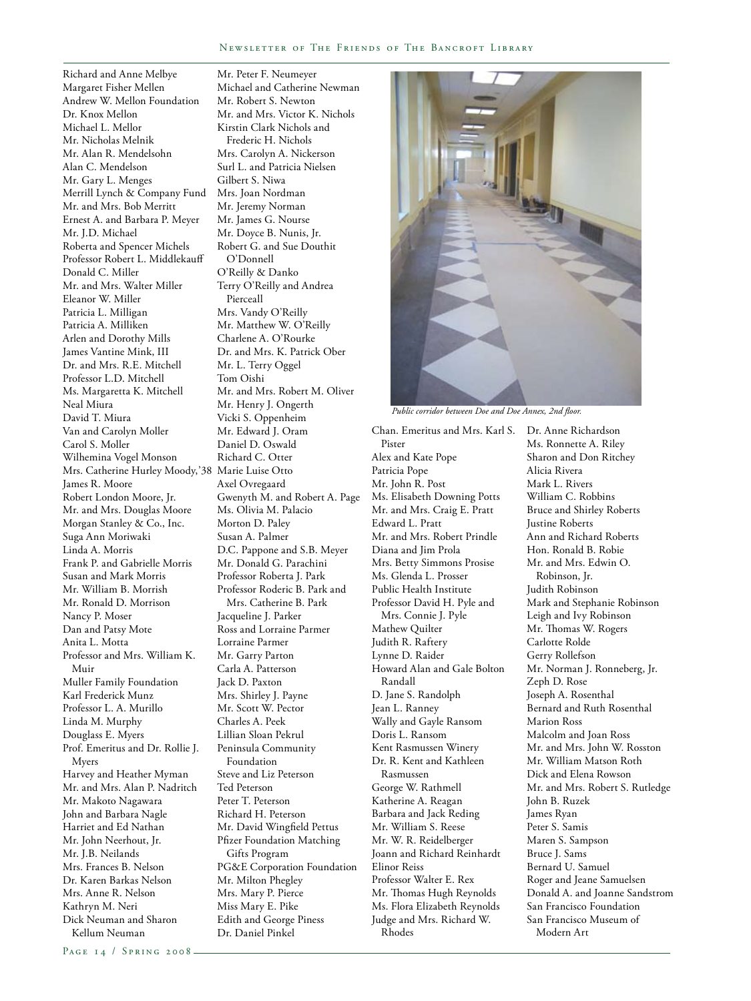Richard and Anne Melbye Margaret Fisher Mellen Andrew W. Mellon Foundation Dr. Knox Mellon Michael L. Mellor Mr. Nicholas Melnik Mr. Alan R. Mendelsohn Alan C. Mendelson Mr. Gary L. Menges Merrill Lynch & Company Fund Mr. and Mrs. Bob Merritt Ernest A. and Barbara P. Meyer Mr. J.D. Michael Roberta and Spencer Michels Professor Robert L. Middlekauff Donald C. Miller Mr. and Mrs. Walter Miller Eleanor W. Miller Patricia L. Milligan Patricia A. Milliken Arlen and Dorothy Mills James Vantine Mink, III Dr. and Mrs. R.E. Mitchell Professor L.D. Mitchell Ms. Margaretta K. Mitchell Neal Miura David T. Miura Van and Carolyn Moller Carol S. Moller Wilhemina Vogel Monson Mrs. Catherine Hurley Moody,'38 Marie Luise Otto James R. Moore Robert London Moore, Jr. Mr. and Mrs. Douglas Moore Morgan Stanley & Co., Inc. Suga Ann Moriwaki Linda A. Morris Frank P. and Gabrielle Morris Susan and Mark Morris Mr. William B. Morrish Mr. Ronald D. Morrison Nancy P. Moser Dan and Patsy Mote Anita L. Motta Professor and Mrs. William K. Muir Muller Family Foundation Karl Frederick Munz Professor L. A. Murillo Linda M. Murphy Douglass E. Myers Prof. Emeritus and Dr. Rollie J. Myers Harvey and Heather Myman Mr. and Mrs. Alan P. Nadritch Mr. Makoto Nagawara John and Barbara Nagle Harriet and Ed Nathan Mr. John Neerhout, Jr. Mr. J.B. Neilands Mrs. Frances B. Nelson Dr. Karen Barkas Nelson Mrs. Anne R. Nelson Kathryn M. Neri Dick Neuman and Sharon Kellum Neuman

Mr. Peter F. Neumeyer Michael and Catherine Newman Mr. Robert S. Newton Mr. and Mrs. Victor K. Nichols Kirstin Clark Nichols and Frederic H. Nichols Mrs. Carolyn A. Nickerson Surl L. and Patricia Nielsen Gilbert S. Niwa Mrs. Joan Nordman Mr. Jeremy Norman Mr. James G. Nourse Mr. Doyce B. Nunis, Jr. Robert G. and Sue Douthit O'Donnell O'Reilly & Danko Terry O'Reilly and Andrea Pierceall Mrs. Vandy O'Reilly Mr. Matthew W. O'Reilly Charlene A. O'Rourke Dr. and Mrs. K. Patrick Ober Mr. L. Terry Oggel Tom Oishi Mr. and Mrs. Robert M. Oliver Mr. Henry J. Ongerth Vicki S. Oppenheim Mr. Edward J. Oram Daniel D. Oswald Richard C. Otter Axel Ovregaard Gwenyth M. and Robert A. Page Ms. Olivia M. Palacio Morton D. Paley Susan A. Palmer D.C. Pappone and S.B. Meyer Mr. Donald G. Parachini Professor Roberta J. Park Professor Roderic B. Park and Mrs. Catherine B. Park Jacqueline J. Parker Ross and Lorraine Parmer Lorraine Parmer Mr. Garry Parton Carla A. Patterson Jack D. Paxton Mrs. Shirley J. Payne Mr. Scott W. Pector Charles A. Peek Lillian Sloan Pekrul Peninsula Community Foundation Steve and Liz Peterson Ted Peterson Peter T. Peterson Richard H. Peterson Mr. David Wingfield Pettus Pfizer Foundation Matching Gifts Program PG&E Corporation Foundation Mr. Milton Phegley Mrs. Mary P. Pierce Miss Mary E. Pike Edith and George Piness Dr. Daniel Pinkel



*Public corridor between Doe and Doe Annex, 2nd floor.*

Chan. Emeritus and Mrs. Karl S. Pister Alex and Kate Pope Patricia Pope Mr. John R. Post Ms. Elisabeth Downing Potts Mr. and Mrs. Craig E. Pratt Edward L. Pratt Mr. and Mrs. Robert Prindle Diana and Jim Prola Mrs. Betty Simmons Prosise Ms. Glenda L. Prosser Public Health Institute Professor David H. Pyle and Mrs. Connie J. Pyle Mathew Quilter Judith R. Raftery Lynne D. Raider Howard Alan and Gale Bolton Randall D. Jane S. Randolph Jean L. Ranney Wally and Gayle Ransom Doris L. Ransom Kent Rasmussen Winery Dr. R. Kent and Kathleen Rasmussen George W. Rathmell Katherine A. Reagan Barbara and Jack Reding Mr. William S. Reese Mr. W. R. Reidelberger Joann and Richard Reinhardt Elinor Reiss Professor Walter E. Rex Mr. Thomas Hugh Reynolds Ms. Flora Elizabeth Reynolds Judge and Mrs. Richard W. Rhodes

Dr. Anne Richardson Ms. Ronnette A. Riley Sharon and Don Ritchey Alicia Rivera Mark L. Rivers William C. Robbins Bruce and Shirley Roberts Justine Roberts Ann and Richard Roberts Hon. Ronald B. Robie Mr. and Mrs. Edwin O. Robinson, Jr. Judith Robinson Mark and Stephanie Robinson Leigh and Ivy Robinson Mr. Thomas W. Rogers Carlotte Rolde Gerry Rollefson Mr. Norman J. Ronneberg, Jr. Zeph D. Rose Joseph A. Rosenthal Bernard and Ruth Rosenthal Marion Ross Malcolm and Joan Ross Mr. and Mrs. John W. Rosston Mr. William Matson Roth Dick and Elena Rowson Mr. and Mrs. Robert S. Rutledge John B. Ruzek James Ryan Peter S. Samis Maren S. Sampson Bruce J. Sams Bernard U. Samuel Roger and Jeane Samuelsen Donald A. and Joanne Sandstrom San Francisco Foundation San Francisco Museum of Modern Art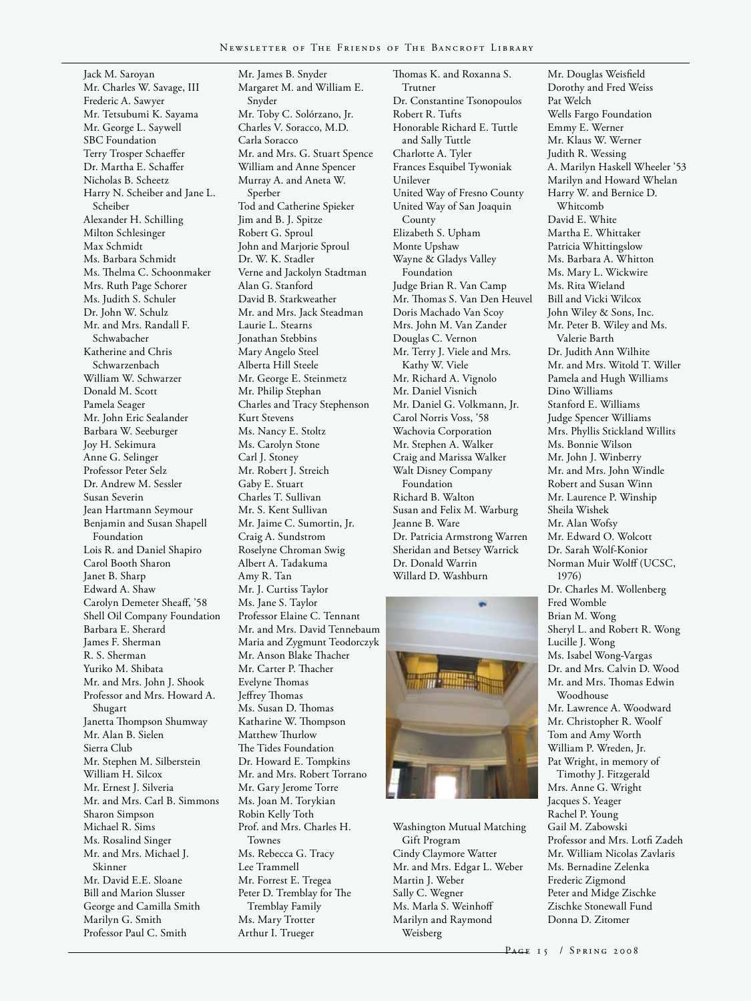Jack M. Saroyan Mr. Charles W. Savage, III Frederic A. Sawyer Mr. Tetsubumi K. Sayama Mr. George L. Saywell SBC Foundation Terry Trosper Schaeffer Dr. Martha E. Schaffer Nicholas B. Scheetz Harry N. Scheiber and Jane L. Scheiber Alexander H. Schilling Milton Schlesinger Max Schmidt Ms. Barbara Schmidt Ms. Thelma C. Schoonmaker Mrs. Ruth Page Schorer Ms. Judith S. Schuler Dr. John W. Schulz Mr. and Mrs. Randall F. Schwabacher Katherine and Chris Schwarzenbach William W. Schwarzer Donald M. Scott Pamela Seager Mr. John Eric Sealander Barbara W. Seeburger Joy H. Sekimura Anne G. Selinger Professor Peter Selz Dr. Andrew M. Sessler Susan Severin Jean Hartmann Seymour Benjamin and Susan Shapell Foundation Lois R. and Daniel Shapiro Carol Booth Sharon Janet B. Sharp Edward A. Shaw Carolyn Demeter Sheaff, '58 Shell Oil Company Foundation Barbara E. Sherard James F. Sherman R. S. Sherman Yuriko M. Shibata Mr. and Mrs. John J. Shook Professor and Mrs. Howard A. Shugart Janetta Thompson Shumway Mr. Alan B. Sielen Sierra Club Mr. Stephen M. Silberstein William H. Silcox Mr. Ernest J. Silveria Mr. and Mrs. Carl B. Simmons Sharon Simpson Michael R. Sims Ms. Rosalind Singer Mr. and Mrs. Michael J. Skinner Mr. David E.E. Sloane Bill and Marion Slusser George and Camilla Smith Marilyn G. Smith Professor Paul C. Smith

Mr. James B. Snyder Margaret M. and William E. Snyder Mr. Toby C. Solórzano, Jr. Charles V. Soracco, M.D. Carla Soracco Mr. and Mrs. G. Stuart Spence William and Anne Spencer Murray A. and Aneta W. Sperber Tod and Catherine Spieker Jim and B. J. Spitze Robert G. Sproul John and Marjorie Sproul Dr. W. K. Stadler Verne and Jackolyn Stadtman Alan G. Stanford David B. Starkweather Mr. and Mrs. Jack Steadman Laurie L. Stearns Jonathan Stebbins Mary Angelo Steel Alberta Hill Steele Mr. George E. Steinmetz Mr. Philip Stephan Charles and Tracy Stephenson Kurt Stevens Ms. Nancy E. Stoltz Ms. Carolyn Stone Carl J. Stoney Mr. Robert J. Streich Gaby E. Stuart Charles T. Sullivan Mr. S. Kent Sullivan Mr. Jaime C. Sumortin, Jr. Craig A. Sundstrom Roselyne Chroman Swig Albert A. Tadakuma Amy R. Tan Mr. J. Curtiss Taylor Ms. Jane S. Taylor Professor Elaine C. Tennant Mr. and Mrs. David Tennebaum Maria and Zygmunt Teodorczyk Mr. Anson Blake Thacher Mr. Carter P. Thacher Evelyne Thomas Jeffrey Thomas Ms. Susan D. Thomas Katharine W. Thompson Matthew Thurlow The Tides Foundation Dr. Howard E. Tompkins Mr. and Mrs. Robert Torrano Mr. Gary Jerome Torre Ms. Joan M. Torykian Robin Kelly Toth Prof. and Mrs. Charles H. Townes Ms. Rebecca G. Tracy Lee Trammell Mr. Forrest E. Tregea Peter D. Tremblay for The Tremblay Family

Ms. Mary Trotter Arthur I. Trueger

Thomas K. and Roxanna S. Trutner Dr. Constantine Tsonopoulos Robert R. Tufts Honorable Richard E. Tuttle and Sally Tuttle Charlotte A. Tyler Frances Esquibel Tywoniak Unilever United Way of Fresno County United Way of San Joaquin County Elizabeth S. Upham Monte Upshaw Wayne & Gladys Valley Foundation Judge Brian R. Van Camp Mr. Thomas S. Van Den Heuvel Doris Machado Van Scoy Mrs. John M. Van Zander Douglas C. Vernon Mr. Terry J. Viele and Mrs. Kathy W. Viele Mr. Richard A. Vignolo Mr. Daniel Visnich Mr. Daniel G. Volkmann, Jr. Carol Norris Voss, '58 Wachovia Corporation Mr. Stephen A. Walker Craig and Marissa Walker Walt Disney Company Foundation Richard B. Walton Susan and Felix M. Warburg Jeanne B. Ware Dr. Patricia Armstrong Warren Sheridan and Betsey Warrick Dr. Donald Warrin Willard D. Washburn



Washington Mutual Matching Gift Program Cindy Claymore Watter Mr. and Mrs. Edgar L. Weber Martin J. Weber Sally C. Wegner Ms. Marla S. Weinhoff Marilyn and Raymond Weisberg

Mr. Douglas Weisfield Dorothy and Fred Weiss Pat Welch Wells Fargo Foundation Emmy E. Werner Mr. Klaus W. Werner Judith R. Wessing A. Marilyn Haskell Wheeler '53 Marilyn and Howard Whelan Harry W. and Bernice D. Whitcomb David E. White Martha E. Whittaker Patricia Whittingslow Ms. Barbara A. Whitton Ms. Mary L. Wickwire Ms. Rita Wieland Bill and Vicki Wilcox John Wiley & Sons, Inc. Mr. Peter B. Wiley and Ms. Valerie Barth Dr. Judith Ann Wilhite Mr. and Mrs. Witold T. Willer Pamela and Hugh Williams Dino Williams Stanford E. Williams Judge Spencer Williams Mrs. Phyllis Stickland Willits Ms. Bonnie Wilson Mr. John J. Winberry Mr. and Mrs. John Windle Robert and Susan Winn Mr. Laurence P. Winship Sheila Wishek Mr. Alan Wofsy Mr. Edward O. Wolcott Dr. Sarah Wolf-Konior Norman Muir Wolff (UCSC, 1976) Dr. Charles M. Wollenberg Fred Womble Brian M. Wong Sheryl L. and Robert R. Wong Lucille J. Wong Ms. Isabel Wong-Vargas Dr. and Mrs. Calvin D. Wood Mr. and Mrs. Thomas Edwin Woodhouse Mr. Lawrence A. Woodward Mr. Christopher R. Woolf Tom and Amy Worth William P. Wreden, Jr. Pat Wright, in memory of Timothy J. Fitzgerald Mrs. Anne G. Wright Jacques S. Yeager Rachel P. Young Gail M. Zabowski Professor and Mrs. Lotfi Zadeh Mr. William Nicolas Zavlaris Ms. Bernadine Zelenka

PAGE 15 / SPRING 2008

Frederic Zigmond Peter and Midge Zischke Zischke Stonewall Fund Donna D. Zitomer